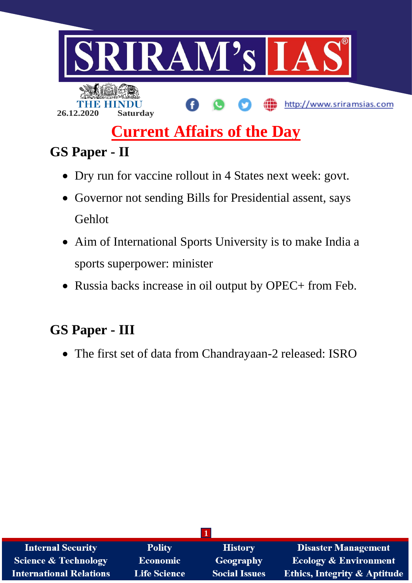

# **Current Affairs of the Day**

## **GS Paper - II**

- Dry run for vaccine rollout in 4 States next week: govt.
- Governor not sending Bills for Presidential assent, says Gehlot
- Aim of International Sports University is to make India a sports superpower: minister
- Russia backs increase in oil output by OPEC+ from Feb.

## **GS Paper - III**

The first set of data from Chandrayaan-2 released: ISRO

| <b>Internal Security</b>        | <b>Polity</b>       | <b>History</b>       | <b>Disaster Management</b>              |  |  |  |
|---------------------------------|---------------------|----------------------|-----------------------------------------|--|--|--|
| <b>Science &amp; Technology</b> | <b>Economic</b>     | Geography            | <b>Ecology &amp; Environment</b>        |  |  |  |
| <b>International Relations</b>  | <b>Life Science</b> | <b>Social Issues</b> | <b>Ethics, Integrity &amp; Aptitude</b> |  |  |  |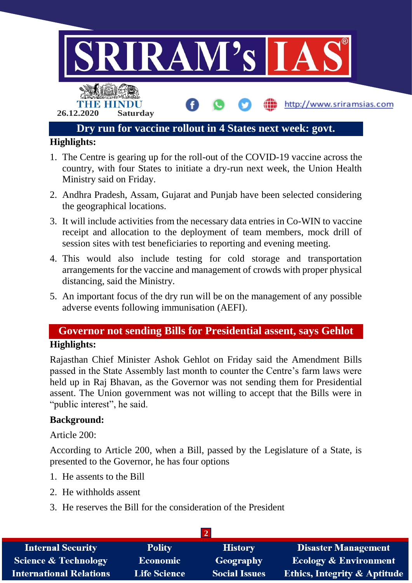

- 1. The Centre is gearing up for the roll-out of the COVID-19 vaccine across the country, with four States to initiate a dry-run next week, the Union Health Ministry said on Friday.
- 2. Andhra Pradesh, Assam, Gujarat and Punjab have been selected considering the geographical locations.
- 3. It will include activities from the necessary data entries in Co-WIN to vaccine receipt and allocation to the deployment of team members, mock drill of session sites with test beneficiaries to reporting and evening meeting.
- 4. This would also include testing for cold storage and transportation arrangements for the vaccine and management of crowds with proper physical distancing, said the Ministry.
- 5. An important focus of the dry run will be on the management of any possible adverse events following immunisation (AEFI).

### **Governor not sending Bills for Presidential assent, says Gehlot Highlights:**

Rajasthan Chief Minister Ashok Gehlot on Friday said the Amendment Bills passed in the State Assembly last month to counter the Centre's farm laws were held up in Raj Bhavan, as the Governor was not sending them for Presidential assent. The Union government was not willing to accept that the Bills were in "public interest", he said.

#### **Background:**

Article 200:

According to Article 200, when a Bill, passed by the Legislature of a State, is presented to the Governor, he has four options

- 1. He assents to the Bill
- 2. He withholds assent
- 3. He reserves the Bill for the consideration of the President

| <b>Internal Security</b>        | <b>Polity</b>       | <b>History</b>       | Disaster Management                     |  |  |
|---------------------------------|---------------------|----------------------|-----------------------------------------|--|--|
| <b>Science &amp; Technology</b> | <b>Economic</b>     | Geography            | <b>Ecology &amp; Environment</b>        |  |  |
| <b>International Relations</b>  | <b>Life Science</b> | <b>Social Issues</b> | <b>Ethics, Integrity &amp; Aptitude</b> |  |  |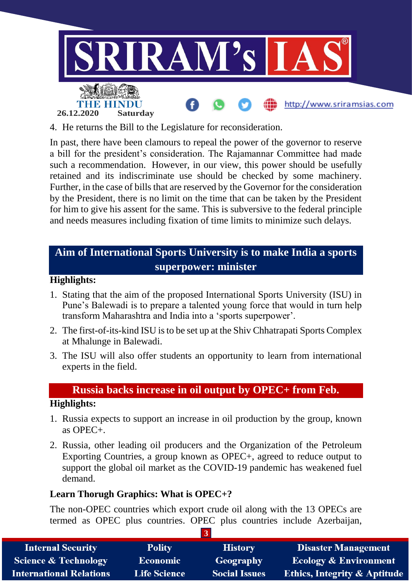

4. He returns the Bill to the Legislature for reconsideration.

In past, there have been clamours to repeal the power of the governor to reserve a bill for the president's consideration. The Rajamannar Committee had made such a recommendation. However, in our view, this power should be usefully retained and its indiscriminate use should be checked by some machinery. Further, in the case of bills that are reserved by the Governor for the consideration by the President, there is no limit on the time that can be taken by the President for him to give his assent for the same. This is subversive to the federal principle and needs measures including fixation of time limits to minimize such delays.

### **Aim of International Sports University is to make India a sports superpower: minister**

#### **Highlights:**

- 1. Stating that the aim of the proposed International Sports University (ISU) in Pune's Balewadi is to prepare a talented young force that would in turn help transform Maharashtra and India into a 'sports superpower'.
- 2. The first-of-its-kind ISU is to be set up at the Shiv Chhatrapati Sports Complex at Mhalunge in Balewadi.
- 3. The ISU will also offer students an opportunity to learn from international experts in the field.

#### **Russia backs increase in oil output by OPEC+ from Feb.**

#### **Highlights:**

- 1. Russia expects to support an increase in oil production by the group, known as  $OPEC +$
- 2. Russia, other leading oil producers and the Organization of the Petroleum Exporting Countries, a group known as OPEC+, agreed to reduce output to support the global oil market as the COVID-19 pandemic has weakened fuel demand.

#### **Learn Thorugh Graphics: What is OPEC+?**

The non-OPEC countries which export crude oil along with the 13 OPECs are termed as OPEC plus countries. OPEC plus countries include Azerbaijan,

| <b>Internal Security</b>        | <b>Polity</b>       | <b>History</b>       | <b>Disaster Management</b>              |  |  |
|---------------------------------|---------------------|----------------------|-----------------------------------------|--|--|
| <b>Science &amp; Technology</b> | Economic            | Geography            | <b>Ecology &amp; Environment</b>        |  |  |
| <b>International Relations</b>  | <b>Life Science</b> | <b>Social Issues</b> | <b>Ethics, Integrity &amp; Aptitude</b> |  |  |